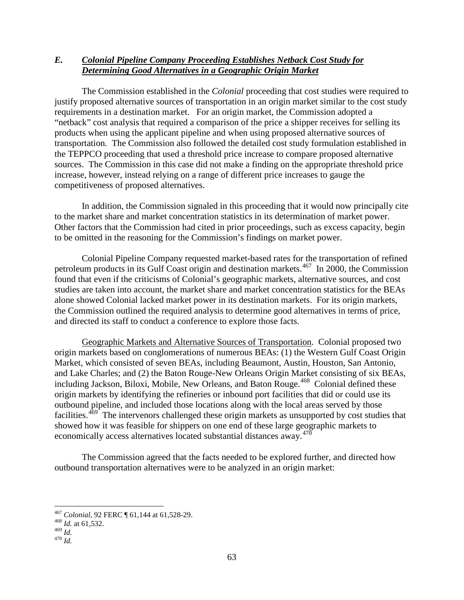## *E. Colonial Pipeline Company Proceeding Establishes Netback Cost Study for Determining Good Alternatives in a Geographic Origin Market*

The Commission established in the *Colonial* proceeding that cost studies were required to justify proposed alternative sources of transportation in an origin market similar to the cost study requirements in a destination market. For an origin market, the Commission adopted a "netback" cost analysis that required a comparison of the price a shipper receives for selling its products when using the applicant pipeline and when using proposed alternative sources of transportation. The Commission also followed the detailed cost study formulation established in the TEPPCO proceeding that used a threshold price increase to compare proposed alternative sources. The Commission in this case did not make a finding on the appropriate threshold price increase, however, instead relying on a range of different price increases to gauge the competitiveness of proposed alternatives.

In addition, the Commission signaled in this proceeding that it would now principally cite to the market share and market concentration statistics in its determination of market power. Other factors that the Commission had cited in prior proceedings, such as excess capacity, begin to be omitted in the reasoning for the Commission's findings on market power.

Colonial Pipeline Company requested market-based rates for the transportation of refined petroleum products in its Gulf Coast origin and destination markets.<sup>[467](#page-0-0)</sup> In 2000, the Commission found that even if the criticisms of Colonial's geographic markets, alternative sources, and cost studies are taken into account, the market share and market concentration statistics for the BEAs alone showed Colonial lacked market power in its destination markets. For its origin markets, the Commission outlined the required analysis to determine good alternatives in terms of price, and directed its staff to conduct a conference to explore those facts.

Geographic Markets and Alternative Sources of Transportation. Colonial proposed two origin markets based on conglomerations of numerous BEAs: (1) the Western Gulf Coast Origin Market, which consisted of seven BEAs, including Beaumont, Austin, Houston, San Antonio, and Lake Charles; and (2) the Baton Rouge-New Orleans Origin Market consisting of six BEAs, including Jackson, Biloxi, Mobile, New Orleans, and Baton Rouge.<sup>468</sup> Colonial defined these origin markets by identifying the refineries or inbound port facilities that did or could use its outbound pipeline, and included those locations along with the local areas served by those facilities.<sup>[469](#page-0-2)</sup> The intervenors challenged these origin markets as unsupported by cost studies that showed how it was feasible for shippers on one end of these large geographic markets to economically access alternatives located substantial distances away.<sup>[470](#page-0-3)</sup>

The Commission agreed that the facts needed to be explored further, and directed how outbound transportation alternatives were to be analyzed in an origin market:

<span id="page-0-1"></span><span id="page-0-0"></span><sup>467</sup> *Colonial*, 92 FERC ¶ 61,144 at 61,528-29. <sup>468</sup> *Id.* at 61,532.

<span id="page-0-3"></span><span id="page-0-2"></span> $470$  *Id.*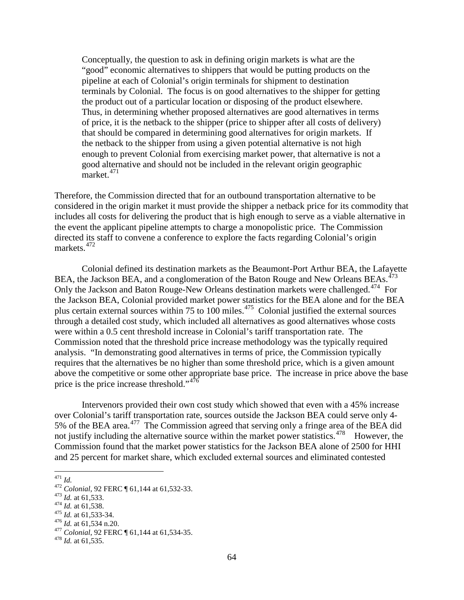Conceptually, the question to ask in defining origin markets is what are the "good" economic alternatives to shippers that would be putting products on the pipeline at each of Colonial's origin terminals for shipment to destination terminals by Colonial. The focus is on good alternatives to the shipper for getting the product out of a particular location or disposing of the product elsewhere. Thus, in determining whether proposed alternatives are good alternatives in terms of price, it is the netback to the shipper (price to shipper after all costs of delivery) that should be compared in determining good alternatives for origin markets. If the netback to the shipper from using a given potential alternative is not high enough to prevent Colonial from exercising market power, that alternative is not a good alternative and should not be included in the relevant origin geographic  $m$ arket.<sup>[471](#page-1-0)</sup>

Therefore, the Commission directed that for an outbound transportation alternative to be considered in the origin market it must provide the shipper a netback price for its commodity that includes all costs for delivering the product that is high enough to serve as a viable alternative in the event the applicant pipeline attempts to charge a monopolistic price. The Commission directed its staff to convene a conference to explore the facts regarding Colonial's origin markets.[472](#page-1-1)

Colonial defined its destination markets as the Beaumont-Port Arthur BEA, the Lafayette BEA, the Jackson BEA, and a conglomeration of the Baton Rouge and New Orleans BEAs.<sup>[473](#page-1-2)</sup> Only the Jackson and Baton Rouge-New Orleans destination markets were challenged.<sup>474</sup> For the Jackson BEA, Colonial provided market power statistics for the BEA alone and for the BEA plus certain external sources within 75 to 100 miles.<sup>[475](#page-1-4)</sup> Colonial justified the external sources through a detailed cost study, which included all alternatives as good alternatives whose costs were within a 0.5 cent threshold increase in Colonial's tariff transportation rate. The Commission noted that the threshold price increase methodology was the typically required analysis. "In demonstrating good alternatives in terms of price, the Commission typically requires that the alternatives be no higher than some threshold price, which is a given amount above the competitive or some other appropriate base price. The increase in price above the base price is the price increase threshold."<sup>476</sup>

Intervenors provided their own cost study which showed that even with a 45% increase over Colonial's tariff transportation rate, sources outside the Jackson BEA could serve only 4- 5% of the BEA area.<sup>[477](#page-1-6)</sup> The Commission agreed that serving only a fringe area of the BEA did not justify including the alternative source within the market power statistics.<sup>478</sup> However, the Commission found that the market power statistics for the Jackson BEA alone of 2500 for HHI and 25 percent for market share, which excluded external sources and eliminated contested

<span id="page-1-2"></span>

<span id="page-1-3"></span>

<span id="page-1-4"></span>

<span id="page-1-6"></span><span id="page-1-5"></span>

<span id="page-1-1"></span><span id="page-1-0"></span><sup>&</sup>lt;sup>471</sup> *Id.*<br>
<sup>472</sup> *Colonial*, 92 FERC ¶ 61,144 at 61,532-33.<br>
<sup>473</sup> *Id.* at 61,533.<br>
<sup>474</sup> *Id.* at 61,538.<br>
<sup>475</sup> *Id.* at 61,533-34.<br>
<sup>476</sup> *Id.* at 61,534 n.20.<br>
<sup>477</sup> *Colonial*, 92 FERC ¶ 61,144 at 61,534-35.<br>
<sup>478</sup>

<span id="page-1-7"></span>